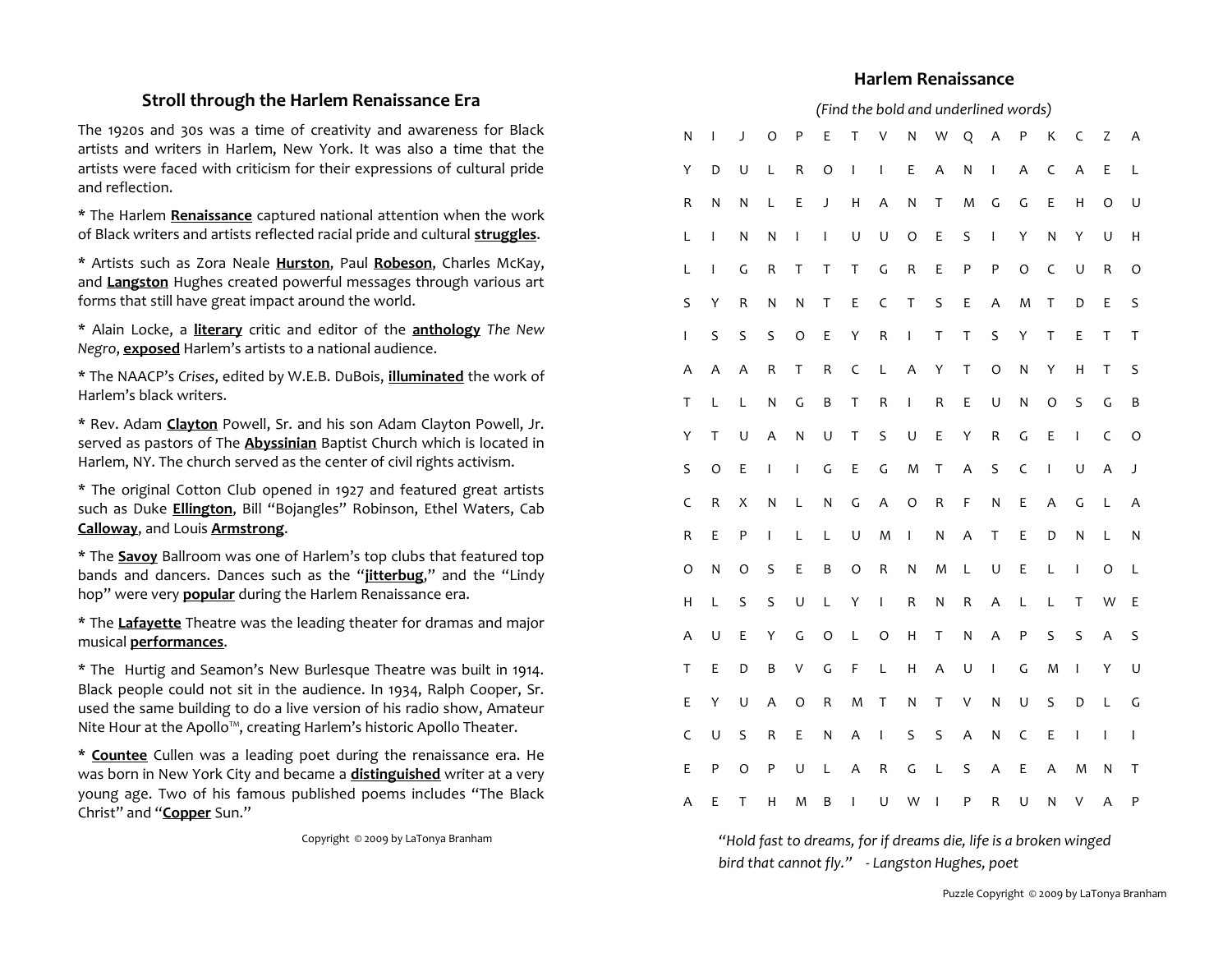## **Stroll through the Harlem Renaissance Era**

The 1920s and 30s was a time of creativity and awareness for Black artists and writers in Harlem, New York. It was also a time that the artists were faced with criticism for their expressions of cultural pride and reflection.

\* The Harlem **Renaissance** captured national attention when the work of Black writers and artists reflected racial pride and cultural **struggles**.

\* Artists such as Zora Neale **Hurston**, Paul **Robeson**, Charles McKay, and **Langston** Hughes created powerful messages through various art forms that still have great impact around the world.

\* Alain Locke, a **literary** critic and editor of the **anthology** *The New Negro*, **exposed** Harlem's artists to a national audience.

\* The NAACP's *Crises*, edited by W.E.B. DuBois, **illuminated** the work of Harlem's black writers.

\* Rev. Adam **Clayton** Powell, Sr. and his son Adam Clayton Powell, Jr. served as pastors of The **Abyssinian** Baptist Church which is located in Harlem, NY. The church served as the center of civil rights activism.

\* The original Cotton Club opened in 1927 and featured great artists such as Duke **Ellington**, Bill "Bojangles" Robinson, Ethel Waters, Cab **Calloway**, and Louis **Armstrong**.

\* The **Savoy** Ballroom was one of Harlem's top clubs that featured top bands and dancers. Dances such as the "**jitterbug**," and the "Lindy hop" were very **popular** during the Harlem Renaissance era.

\* The **Lafayette** Theatre was the leading theater for dramas and major musical **performances**.

\* The Hurtig and Seamon's New Burlesque Theatre was built in 1914. Black people could not sit in the audience. In 1934, Ralph Cooper, Sr. used the same building to do a live version of his radio show, Amateur Nite Hour at the Apollo™, creating Harlem's historic Apollo Theater.

**\* Countee** Cullen was a leading poet during the renaissance era. He was born in New York City and became a **distinguished** writer at a very young age. Two of his famous published poems includes "The Black Christ" and "**Copper** Sun."

Copyright © 2009 by LaTonya Branham

### **Harlem Renaissance**

#### *(Find the bold and underlined words)*

| N            | I | J       | $\circ$      | P            | E            | Τ              | V            | N            | W                       | Q       | Α                                                                                                                                                                                                                                                                                                                                                                                                              | P            | К            | C            | Ζ            | Α            |
|--------------|---|---------|--------------|--------------|--------------|----------------|--------------|--------------|-------------------------|---------|----------------------------------------------------------------------------------------------------------------------------------------------------------------------------------------------------------------------------------------------------------------------------------------------------------------------------------------------------------------------------------------------------------------|--------------|--------------|--------------|--------------|--------------|
| Υ            | D | U       | L            | ${\sf R}$    | $\circ$      | $\mathsf I$    | $\mathsf I$  | E            | A                       | N       | $\mathsf I$                                                                                                                                                                                                                                                                                                                                                                                                    | A            | C            | A            | E            | L            |
| R            | N | N       | L            | E            | J            | $\mathsf{H}$   | A            | N            | T                       | M       | $\mathsf{G}$                                                                                                                                                                                                                                                                                                                                                                                                   | $\mathsf C$  | E            | Н            | $\circ$      | U            |
| L            | I | N       | N            | I            | I            | U              | U            | $\circ$      | E                       | S       | $\begin{array}{c} \rule{0pt}{2ex} \rule{0pt}{2ex} \rule{0pt}{2ex} \rule{0pt}{2ex} \rule{0pt}{2ex} \rule{0pt}{2ex} \rule{0pt}{2ex} \rule{0pt}{2ex} \rule{0pt}{2ex} \rule{0pt}{2ex} \rule{0pt}{2ex} \rule{0pt}{2ex} \rule{0pt}{2ex} \rule{0pt}{2ex} \rule{0pt}{2ex} \rule{0pt}{2ex} \rule{0pt}{2ex} \rule{0pt}{2ex} \rule{0pt}{2ex} \rule{0pt}{2ex} \rule{0pt}{2ex} \rule{0pt}{2ex} \rule{0pt}{2ex} \rule{0pt}{$ | Υ            | N            | Υ            | U            | $\mathsf{H}$ |
| L            | I | G       | ${\sf R}$    | T            | T            | T              | $\mathsf{G}$ | R            | E                       | P       | P                                                                                                                                                                                                                                                                                                                                                                                                              | $\circ$      | $\mathsf{C}$ | U            | R            | O            |
| S            | Υ | R       | N            | N            | T            | E              | $\mathsf C$  | $\sf T$      | S                       | E       | Α                                                                                                                                                                                                                                                                                                                                                                                                              | M            | T            | D            | E            | S            |
| I            | S | $\sf S$ | S            | O            | E            | Υ              | ${\sf R}$    | $\mathbf{I}$ | T                       | T       | $\sf S$                                                                                                                                                                                                                                                                                                                                                                                                        | Υ            | T            | E            | Τ            | T            |
| A            | A | A       | $\sf R$      | $\mathsf T$  | R            | $\mathsf C$    | L            | A            | Y                       | $\sf T$ | $\circ$                                                                                                                                                                                                                                                                                                                                                                                                        | N            | Y            | $\mathsf{H}$ | T            | S            |
| T            | L | L       | $\mathsf{N}$ | G            | B            | Τ              | R            | $\mathsf I$  | ${\sf R}$               | E       | U                                                                                                                                                                                                                                                                                                                                                                                                              | N            | $\circ$      | S            | $\mathsf{G}$ | B            |
| Υ            | T | U       | A            | N            | U            | T              | S            | U            | E                       | Υ       | ${\sf R}$                                                                                                                                                                                                                                                                                                                                                                                                      | $\mathsf C$  | E            | I            | $\mathsf C$  | $\circ$      |
| $\sf S$      | O | E       | $\mathsf I$  | $\mathbf{I}$ | $\mathsf{G}$ | E              | $\mathsf{G}$ | M            | T                       | A       | S                                                                                                                                                                                                                                                                                                                                                                                                              | $\mathsf C$  | $\mathbf{I}$ | U            | A            | J            |
| C            | R | X       | N            | L            | N            | $\mathsf G$    | A            | $\circ$      | $\sf R$                 | F       | N                                                                                                                                                                                                                                                                                                                                                                                                              | $\mathsf E$  | A            | G            | L            | Α            |
| ${\sf R}$    | E | P       | $\mathsf I$  | L            | L            | U              | M            | $\mathsf I$  | $\mathsf{N}$            | A       | $\sf T$                                                                                                                                                                                                                                                                                                                                                                                                        | $\mathsf E$  | D            | $\mathsf{N}$ | L            | N            |
| $\circ$      | N | O       | S            | E            | B            | $\circ$        | ${\sf R}$    | N            | M                       | L       | U                                                                                                                                                                                                                                                                                                                                                                                                              | $\mathsf E$  | L            | I            | O            | L            |
| $\mathsf{H}$ | L | S       | S            | U            | L            | Υ              | $\sf I$      | R            | $\overline{\mathsf{N}}$ | R       | A                                                                                                                                                                                                                                                                                                                                                                                                              | L            | L            | T            | W            | E            |
| Α            | U | E       | Υ            | G            | $\circ$      | L              | $\circ$      | Н            | T                       | N       | A                                                                                                                                                                                                                                                                                                                                                                                                              | ${\sf P}$    | S            | S            | Α            | S            |
| T            | E | D       | B            | $\sf V$      | $\mathsf{G}$ | F              | L            | Н            | A                       | U       | $\mathsf I$                                                                                                                                                                                                                                                                                                                                                                                                    | $\mathsf{G}$ | M            | $\mathsf{I}$ | Υ            | U            |
| E            | Υ | U       | A            | $\circ$      | R            | ${\sf M}$      | $\sf T$      | N            | T                       | V       | $\mathsf{N}$                                                                                                                                                                                                                                                                                                                                                                                                   | U            | S            | D            | L            | $\mathsf{G}$ |
| $\mathsf C$  | U | S       | $\sf R$      | E            | Ν            | A              | $\sf I$      | S            | S                       | Α       | N                                                                                                                                                                                                                                                                                                                                                                                                              | $\mathsf C$  | E            | I            | T            | I            |
| E            | P | $\circ$ | ${\sf P}$    | U            | L            | Α              | R            | $\mathsf{G}$ | L                       | S       | A                                                                                                                                                                                                                                                                                                                                                                                                              | $\mathsf E$  | Α            | M            | N            | T            |
| Α            | E | T       | н            | M            | B            | $\overline{1}$ | U            | W            | T                       | P       | R                                                                                                                                                                                                                                                                                                                                                                                                              | U            | N            | V            | A            | ${\sf P}$    |

*"Hold fast to dreams, for if dreams die, life is a broken winged bird that cannot fly." - Langston Hughes, poet*